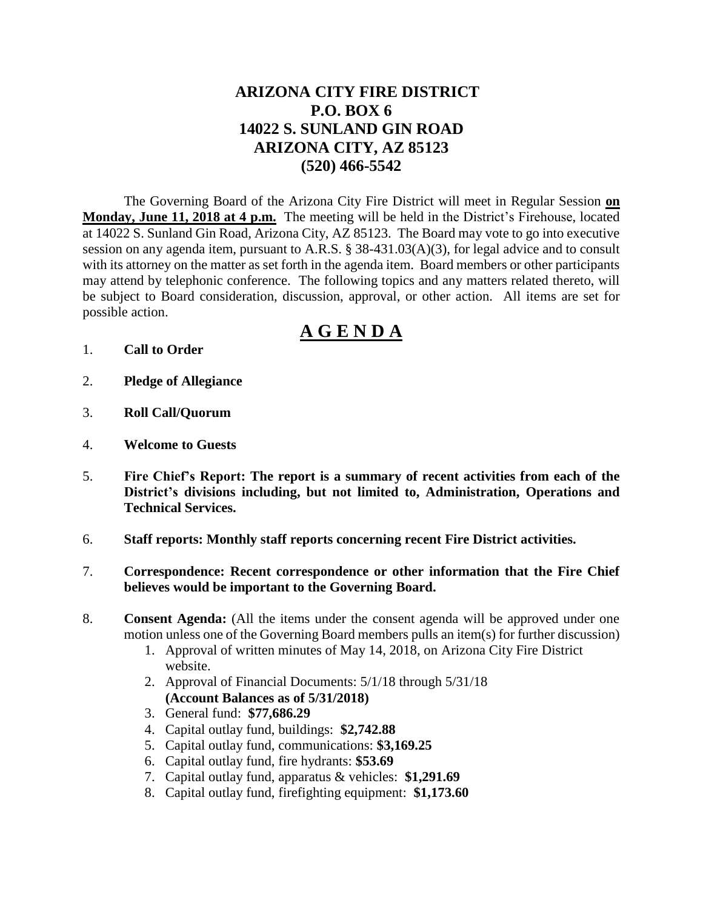## **ARIZONA CITY FIRE DISTRICT P.O. BOX 6 14022 S. SUNLAND GIN ROAD ARIZONA CITY, AZ 85123 (520) 466-5542**

The Governing Board of the Arizona City Fire District will meet in Regular Session **on Monday, June 11, 2018 at 4 p.m.** The meeting will be held in the District's Firehouse, located at 14022 S. Sunland Gin Road, Arizona City, AZ 85123. The Board may vote to go into executive session on any agenda item, pursuant to A.R.S. § 38-431.03(A)(3), for legal advice and to consult with its attorney on the matter as set forth in the agenda item. Board members or other participants may attend by telephonic conference. The following topics and any matters related thereto, will be subject to Board consideration, discussion, approval, or other action. All items are set for possible action.

# **A G E N D A**

- 1. **Call to Order**
- 2. **Pledge of Allegiance**
- 3. **Roll Call/Quorum**
- 4. **Welcome to Guests**
- 5. **Fire Chief's Report: The report is a summary of recent activities from each of the District's divisions including, but not limited to, Administration, Operations and Technical Services.**
- 6. **Staff reports: Monthly staff reports concerning recent Fire District activities.**
- 7. **Correspondence: Recent correspondence or other information that the Fire Chief believes would be important to the Governing Board.**
- 8. **Consent Agenda:** (All the items under the consent agenda will be approved under one motion unless one of the Governing Board members pulls an item(s) for further discussion)
	- 1. Approval of written minutes of May 14, 2018, on Arizona City Fire District website.
	- 2. Approval of Financial Documents: 5/1/18 through 5/31/18 **(Account Balances as of 5/31/2018)**
	- 3. General fund: **\$77,686.29**
	- 4. Capital outlay fund, buildings: **\$2,742.88**
	- 5. Capital outlay fund, communications: **\$3,169.25**
	- 6. Capital outlay fund, fire hydrants: **\$53.69**
	- 7. Capital outlay fund, apparatus & vehicles: **\$1,291.69**
	- 8. Capital outlay fund, firefighting equipment: **\$1,173.60**